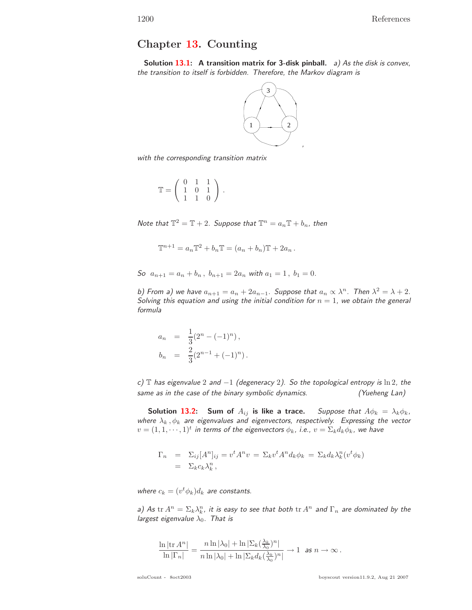## **Chapter 13. Counting**

**Solution 13.1:** A transition matrix for 3-disk pinball. a) As the disk is convex, the transition to itself is forbidden. Therefore, the Markov diagram is



with the corresponding transition matrix

$$
\mathbb{T} = \left( \begin{array}{ccc} 0 & 1 & 1 \\ 1 & 0 & 1 \\ 1 & 1 & 0 \end{array} \right) \, .
$$

Note that  $\mathbb{T}^2 = \mathbb{T} + 2$ . Suppose that  $\mathbb{T}^n = a_n \mathbb{T} + b_n$ , then

$$
\mathbb{T}^{n+1} = a_n \mathbb{T}^2 + b_n \mathbb{T} = (a_n + b_n) \mathbb{T} + 2a_n.
$$

So  $a_{n+1} = a_n + b_n$ ,  $b_{n+1} = 2a_n$  with  $a_1 = 1$ ,  $b_1 = 0$ .

b) From a) we have  $a_{n+1} = a_n + 2a_{n-1}$ . Suppose that  $a_n \propto \lambda^n$ . Then  $\lambda^2 = \lambda + 2$ . Solving this equation and using the initial condition for  $n = 1$ , we obtain the general formula

$$
a_n = \frac{1}{3}(2^n - (-1)^n),
$$
  
\n
$$
b_n = \frac{2}{3}(2^{n-1} + (-1)^n).
$$

c) T has eigenvalue 2 and  $-1$  (degeneracy 2). So the topological entropy is ln 2, the same as in the case of the binary symbolic dynamics. (Yueheng Lan)

**Solution 13.2:** Sum of  $A_{ij}$  is like a trace. Suppose that  $A\phi_k = \lambda_k \phi_k$ , where  $\lambda_k$ ,  $\phi_k$  are eigenvalues and eigenvectors, respectively. Expressing the vector  $v = (1, 1, \dots, 1)^t$  in terms of the eigenvectors  $\phi_k$ , i.e.,  $v = \sum_k d_k \phi_k$ , we have

$$
\Gamma_n = \Sigma_{ij} [A^n]_{ij} = v^t A^n v = \Sigma_k v^t A^n d_k \phi_k = \Sigma_k d_k \lambda_k^n (v^t \phi_k)
$$
  
=  $\Sigma_k c_k \lambda_k^n$ ,

where  $c_k = (v^t \phi_k) d_k$  are constants.

a) As  ${\rm tr}\, A^n = \Sigma_k \lambda_k^n$ , it is easy to see that both  ${\rm tr}\, A^n$  and  $\Gamma_n$  are dominated by the largest eigenvalue  $\lambda_0$ . That is

$$
\frac{\ln|\text{tr }A^n|}{\ln|\Gamma_n|} = \frac{n \ln |\lambda_0| + \ln |\Sigma_k(\frac{\lambda_k}{\lambda_0})^n|}{n \ln |\lambda_0| + \ln |\Sigma_k d_k(\frac{\lambda_k}{\lambda_0})^n|} \to 1 \text{ as } n \to \infty.
$$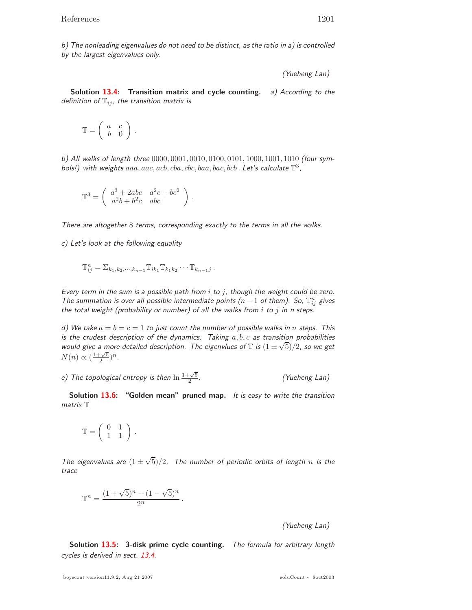b) The nonleading eigenvalues do not need to be distinct, as the ratio in a) is controlled by the largest eigenvalues only.

(Yueheng Lan)

**Solution 13.4: Transition matrix and cycle counting.** a) According to the definition of  $\mathbb{T}_{ij}$ , the transition matrix is

$$
\mathbb{T} = \left( \begin{array}{cc} a & c \\ b & 0 \end{array} \right) .
$$

b) All walks of length three 0000, 0001, 0010, 0100, 0101, 1000, 1001, 1010 (four symbols!) with weights  $aaa, aac, acb, cba, cbc, baa, bac, bcb$ . Let's calculate  $\mathbb{T}^3$ ,

$$
\mathbb{T}^3 = \left( \begin{array}{cc} a^3 + 2abc & a^2c + bc^2 \\ a^2b + b^2c & abc \end{array} \right) \, .
$$

There are altogether 8 terms, corresponding exactly to the terms in all the walks.

c) Let's look at the following equality

$$
\mathbb{T}_{ij}^n = \sum_{k_1, k_2, \cdots, k_{n-1}} \mathbb{T}_{ik_1} \mathbb{T}_{k_1 k_2} \cdots \mathbb{T}_{k_{n-1} j}.
$$

Every term in the sum is a possible path from  $i$  to  $j$ , though the weight could be zero. The summation is over all possible intermediate points  $(n-1$  of them). So,  $\mathbb{T}_{ij}^n$  gives the total weight (probability or number) of all the walks from  $i$  to  $j$  in n steps.

d) We take  $a = b = c = 1$  to just count the number of possible walks in n steps. This is the crudest description of the dynamics. Taking  $a,b,c$  as transition probabilities would give a more detailed description. The eigenvlues of  $\mathbb T$  is  $(1 \pm \sqrt{5})/2$ , so we get  $N(n) \propto (\frac{1+\sqrt{5}}{2})^n$ .

e) The topological entropy is then  $\ln \frac{1+\sqrt{5}}{2}$ . (Yueheng Lan)

**Solution 13.6: "Golden mean" pruned map.** It is easy to write the transition matrix T

$$
\mathbb{T} = \left( \begin{array}{cc} 0 & 1 \\ 1 & 1 \end{array} \right) \, .
$$

The eigenvalues are  $(1 \pm \sqrt{5})/2$ . The number of periodic orbits of length n is the trace

$$
\mathbb{T}^{n} = \frac{(1+\sqrt{5})^{n} + (1-\sqrt{5})^{n}}{2^{n}}.
$$

(Yueheng Lan)

**Solution 13.5: 3-disk prime cycle counting.** The formula for arbitrary length cycles is derived in sect. 13.4.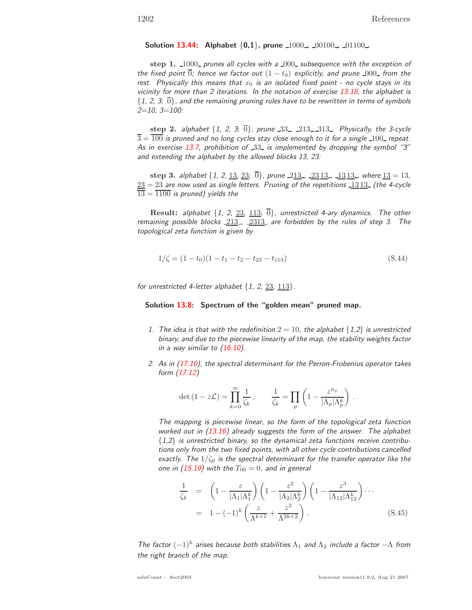**Solution 13.44: Alphabet** {**0,1**}**, prune** 1000 **,** 00100 **,** 01100 **.**

step 1. 1000<sub>-</sub> prunes all cycles with a  $\text{\_000}\text{\_}$  subsequence with the exception of the fixed point  $\overline{0}$ ; hence we factor out  $(1 - t_0)$  explicitly, and prune 000 from the rest. Physically this means that  $x_0$  is an isolated fixed point - no cycle stays in its vicinity for more than 2 iterations. In the notation of exercise 13.18, the alphabet is  $\{1, 2, 3; \overline{0}\}$ , and the remaining pruning rules have to be rewritten in terms of symbols 2=10, 3=100:

**step 2.** alphabet  $\{1, 2, 3, 0\}$ , prune 33, 213, 313. Physically, the 3-cycle  $\overline{3} = \overline{100}$  is pruned and no long cycles stay close enough to it for a single  $100$  repeat. As in exercise 13.7, prohibition of  $\text{-}33$  is implemented by dropping the symbol "3" and extending the alphabet by the allowed blocks 13, 23:

**step 3.** alphabet  $\{1, 2, 13, 23, 0\}$ , prune  $213$ ,  $2313$ ,  $1313$ , where  $13 = 13$ ,  $23 = 23$  are now used as single letters. Pruning of the repetitions  $\frac{1313}{13}$  (the 4-cycle  $\overline{13} = \overline{1100}$  is pruned) yields the

**Result:** alphabet  $\{1, 2, 23, 113, 0\}$ , unrestricted 4-ary dynamics. The other remaining possible blocks  $213$ ,  $2313$  are forbidden by the rules of step 3. The topological zeta function is given by

$$
1/\zeta = (1 - t_0)(1 - t_1 - t_2 - t_{23} - t_{113})
$$
\n(S.44)

for unrestricted 4-letter alphabet  $\{1, 2, 23, 113\}$ .

**Solution 13.8: Spectrum of the "golden mean" pruned map.**

- 1. The idea is that with the redefinition  $2 = 10$ , the alphabet  $\{1,2\}$  is unrestricted binary, and due to the piecewise linearity of the map, the stability weights factor in a way similar to  $(16.10)$ .
- 2. As in (17.10), the spectral determinant for the Perron-Frobenius operator takes form (17.12)

$$
\det\left(1-z\mathcal{L}\right)=\prod_{k=0}^\infty\frac{1}{\zeta_k}\,,\qquad \frac{1}{\zeta_k}=\prod_p\left(1-\frac{z^{n_p}}{|\Lambda_p|\Lambda_p^k}\right)\,.
$$

The mapping is piecewise linear, so the form of the topological zeta function worked out in  $(13.16)$  already suggests the form of the answer. The alphabet  ${1,2}$  is unrestricted binary, so the dynamical zeta functions receive contributions only from the two fixed points, with all other cycle contributions cancelled exactly. The  $1/\zeta_0$  is the spectral determinant for the transfer operator like the one in (15.19) with the  $T_{00} = 0$ , and in general

$$
\frac{1}{\zeta_k} = \left(1 - \frac{z}{|\Lambda_1|\Lambda_1^k}\right) \left(1 - \frac{z^2}{|\Lambda_2|\Lambda_2^k}\right) \left(1 - \frac{z^3}{|\Lambda_{12}|\Lambda_{12}^k}\right) \cdots
$$
\n
$$
= 1 - (-1)^k \left(\frac{z}{\Lambda^{k+1}} + \frac{z^2}{\Lambda^{2k+2}}\right). \tag{S.45}
$$

The factor  $(-1)^k$  arises because both stabilities  $\Lambda_1$  and  $\Lambda_2$  include a factor  $-\Lambda$  from the right branch of the map.